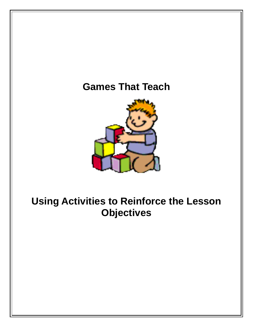# **Games That Teach**



# **Using Activities to Reinforce the Lesson Objectives**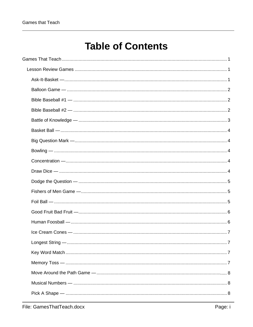# **Table of Contents**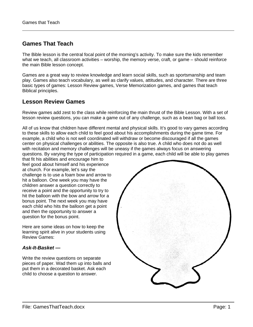# <span id="page-6-0"></span>**Games That Teach**

The Bible lesson is the central focal point of the morning's activity. To make sure the kids remember what we teach, all classroom activities – worship, the memory verse, craft, or game – should reinforce the main Bible lesson concept.

Games are a great way to review knowledge and learn social skills, such as sportsmanship and team play. Games also teach vocabulary, as well as clarify values, attitudes, and character. There are three basic types of games: Lesson Review games, Verse Memorization games, and games that teach Biblical principles.

# <span id="page-6-1"></span>**Lesson Review Games**

Review games add zest to the class while reinforcing the main thrust of the Bible Lesson. With a set of lesson review questions, you can make a game out of any challenge, such as a bean bag or ball toss.

All of us know that children have different mental and physical skills. It's good to vary games according to these skills to allow each child to feel good about his accomplishments during the game time. For example, a child who is not well coordinated will withdraw or become discouraged if all the games center on physical challenges or abilities. The opposite is also true. A child who does not do as well with recitation and memory challenges will be uneasy if the games always focus on answering questions. By varying the type of participation required in a game, each child will be able to play games

that fit his abilities and encourage him to feel good about himself and his experience at church. For example, let's say the challenge is to use a foam bow and arrow to hit a balloon. One week you may have the children answer a question correctly to receive a point and the opportunity to try to hit the balloon with the bow and arrow for a bonus point. The next week you may have each child who hits the balloon get a point and then the opportunity to answer a question for the bonus point.

Here are some ideas on how to keep the learning spirit alive in your students using Review Games:

# <span id="page-6-2"></span>*Ask-It-Basket —*

Write the review questions on separate pieces of paper. Wad them up into balls and put them in a decorated basket. Ask each child to choose a question to answer.

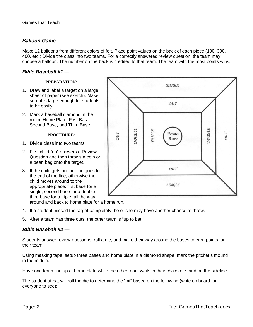# <span id="page-7-0"></span>*Balloon Game —*

Make 12 balloons from different colors of felt. Place point values on the back of each piece (100, 300, 400, etc.) Divide the class into two teams. For a correctly answered review question, the team may choose a balloon. The number on the back is credited to that team. The team with the most points wins.

## <span id="page-7-1"></span>*Bible Baseball #1 —*

#### **PREPARATION:**

- 1. Draw and label a target on a large sheet of paper (see sketch). Make sure it is large enough for students to hit easily.
- 2. Mark a baseball diamond in the room: Home Plate, First Base, Second Base, and Third Base.

#### **PROCEDURE:**

- 1. Divide class into two teams.
- 2. First child "up" answers a Review Question and then throws a coin or a bean bag onto the target.
- 3. If the child gets an "out" he goes to the end of the line, otherwise the child moves around to the appropriate place: first base for a single, second base for a double, third base for a triple, all the way



around and back to home plate for a home run.

- 4. If a student missed the target completely, he or she may have another chance to throw.
- 5. After a team has three outs, the other team is "up to bat."

#### <span id="page-7-2"></span>*Bible Baseball #2 —*

Students answer review questions, roll a die, and make their way around the bases to earn points for their team.

Using masking tape, setup three bases and home plate in a diamond shape; mark the pitcher's mound in the middle.

Have one team line up at home plate while the other team waits in their chairs or stand on the sideline.

The student at bat will roll the die to determine the "hit" based on the following (write on board for everyone to see):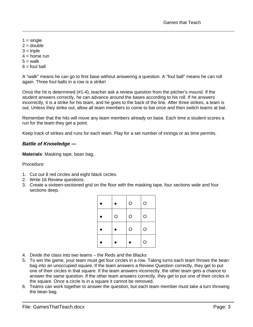- $1 = \text{single}$
- $2 =$  double
- $3$  = triple
- $4 =$  home run
- $5 =$  walk
- $6 =$  foul ball

A "walk" means he can go to first base without answering a question. A "foul ball" means he can roll again. Three foul balls in a row is a strike!

Once the hit is determined (#1-4), teacher ask a review question from the pitcher's mound. If the student answers correctly, he can advance around the bases according to his roll. If he answers incorrectly, it is a strike for his team, and he goes to the back of the line. After three strikes, a team is out. Unless they strike out, allow all team members to come to bat once and then switch teams at bat.

Remember that the hits will move any team members already on base. Each time a student scores a run for the team they get a point.

Keep track of strikes and runs for each team. Play for a set number of innings or as time permits.

# <span id="page-8-0"></span>*Battle of Knowledge —*

**Materials**: Masking tape, bean bag,

Procedure:

- 1. Cut out 8 red circles and eight black circles.
- 2. Write 16 Review questions.
- 3. Create a sixteen-sectioned grid on the floor with the masking tape, four sections wide and four sections deep.

|   | O | $\circ$ |
|---|---|---------|
| Ο | O | O       |
|   | O | O       |
|   |   | O       |

- 4. Divide the class into two teams the Reds and the Blacks
- 5. To win the game, your team must get four circles in a row. Taking turns each team throws the bean bag into an unoccupied square. If the team answers a Review Question correctly, they get to put one of their circles in that square. If the team answers incorrectly, the other team gets a chance to answer the same question. If the other team answers correctly, they get to put one of their circles in the square. Once a circle Is in a square it cannot be removed.
- 6. Teams can work together to answer the question, but each team member must take a turn throwing the bean bag.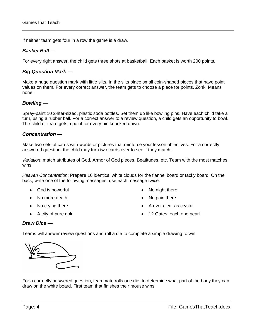If neither team gets four in a row the game is a draw.

### <span id="page-9-0"></span>*Basket Ball —*

For every right answer, the child gets three shots at basketball. Each basket is worth 200 points.

## <span id="page-9-1"></span>*Big Question Mark —*

Make a huge question mark with little slits. In the slits place small coin-shaped pieces that have point values on them. For every correct answer, the team gets to choose a piece for points. Zonk! Means none.

## <span id="page-9-2"></span>*Bowling —*

Spray-paint 10 2-liter-sized, plastic soda bottles. Set them up like bowling pins. Have each child take a turn, using a rubber ball. For a correct answer to a review question, a child gets an opportunity to bowl. The child or team gets a point for every pin knocked down.

## <span id="page-9-3"></span>*Concentration —*

Make two sets of cards with words or pictures that reinforce your lesson objectives. For a correctly answered question, the child may turn two cards over to see if they match.

*Variation*: match attributes of God, Armor of God pieces, Beatitudes, etc. Team with the most matches wins.

*Heaven Concentration*: Prepare 16 identical white clouds for the flannel board or tacky board. On the back, write one of the following messages; use each message twice:

- God is powerful
- No more death
- No crying there
- A city of pure gold
- No night there
- No pain there
- A river clear as crystal
- 12 Gates, each one pearl

# <span id="page-9-4"></span>*Draw Dice —*

Teams will answer review questions and roll a die to complete a simple drawing to win.



For a correctly answered question, teammate rolls one die, to determine what part of the body they can draw on the white board. First team that finishes their mouse wins.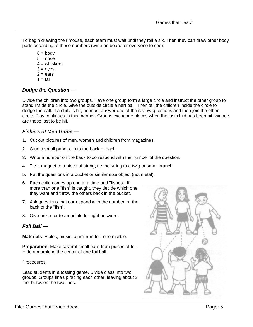To begin drawing their mouse, each team must wait until they roll a six. Then they can draw other body parts according to these numbers (write on board for everyone to see):

- $6 = body$
- $5 = nose$
- $4 =$  whiskers
- $3 = e$  ves
- $2 = ears$
- $1 = \text{tail}$

# <span id="page-10-0"></span>*Dodge the Question —*

Divide the children into two groups. Have one group form a large circle and instruct the other group to stand inside the circle. Give the outside circle a nerf ball. Then tell the children inside the circle to dodge the ball. If a child is hit, he must answer one of the review questions and then join the other circle. Play continues in this manner. Groups exchange places when the last child has been hit; winners are those last to be hit.

# <span id="page-10-1"></span>*Fishers of Men Game —*

- 1. Cut out pictures of men, women and children from magazines.
- 2. Glue a small paper clip to the back of each.
- 3. Write a number on the back to correspond with the number of the question.
- 4. Tie a magnet to a piece of string; tie the string to a twig or small branch.
- 5. Put the questions in a bucket or similar size object (not metal).
- 6. Each child comes up one at a time and "fishes". If more than one "fish" is caught, they decide which one they want and throw the others back in the bucket.
- 7. Ask questions that correspond with the number on the back of the "fish".
- 8. Give prizes or team points for right answers.

# <span id="page-10-2"></span>*Foil Ball —*

**Materials**: Bibles, music, aluminum foil, one marble.

**Preparation**: Make several small balls from pieces of foil. Hide a marble in the center of one foil ball.

Procedures:

Lead students in a tossing game. Divide class into two groups. Groups line up facing each other, leaving about 3 feet between the two lines.

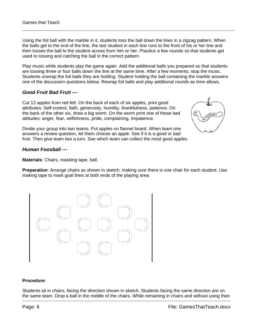Using the foil ball with the marble in it, students toss the ball down the lines in a zigzag pattern. When the balls get to the end of the line, the last student in each line runs to the front of his or her line and then tosses the ball to the student across from him or her. Practice a few rounds so that students get used to tossing and catching the ball in the correct pattern.

Play music while students play the game again. Add the additional balls you prepared so that students are tossing three or four balls down the line at the same time. After a few moments, stop the music. Students unwrap the foil balls they are holding. Student holding the ball containing the marble answers one of the discussion questions below. Rewrap foil balls and play additional rounds as time allows.

# <span id="page-11-0"></span>*Good Fruit Bad Fruit —*

Cut 12 apples from red felt. On the back of each of six apples, print good attributes: Self-control, faith, generosity, humility, thankfulness, patience. On the back of the other six, draw a big worm. On the worm print one of these bad attitudes: anger, fear, selfishness, pride, complaining, impatience.

Divide your group into two teams. Put apples on flannel board. When team one answers a review question, let them choose an apple. See if it is a good or bad fruit. Then give team two a turn. See which team can collect the most good apples.

# <span id="page-11-1"></span>*Human Foosball —*

**Materials**: Chairs, masking tape, ball.

**Preparation**: Arrange chairs as shown in sketch, making sure there is one chair for each student. Use making tape to mark goal lines at both ends of the playing area.



#### **Procedure**:

Students sit in chairs, facing the direction shown in sketch. Students facing the same direction are on the same team. Drop a ball in the middle of the chairs. While remaining in chairs and without using their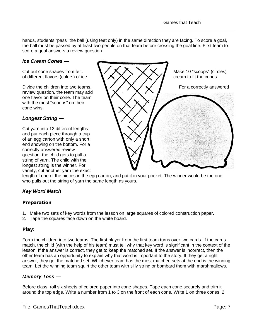hands, students "pass" the ball (using feet only) in the same direction they are facing. To score a goal, the ball must be passed by at least two people on that team before crossing the goal line. First team to score a goal answers a review question.

## *Ice Cream Cones —*

review question, the team may add one flavor on their cone. The team with the most "scoops" on their cone wins.

# <span id="page-12-1"></span>*Longest String —*

Cut yarn into 12 different lengths and put each piece through a cup of an egg carton with only a short end showing on the bottom. For a correctly answered review question, the child gets to pull a string of yarn. The child with the longest string is the winner. For variety, cut another yarn the exact

<span id="page-12-0"></span>

length of one of the pieces in the egg carton, and put it in your pocket. The winner would be the one who pulls out the string of yarn the same length as yours.

# <span id="page-12-2"></span>*Key Word Match*

#### Preparation:

- 1. Make two sets of key words from the lesson on large squares of colored construction paper.
- 2. Tape the squares face down on the white board.

#### Play:

Form the children into two teams. The first player from the first team turns over two cards. If the cards match, the child (with the help of his team) must tell why that key word is significant in the context of the lesson. If the answer is correct, they get to keep the matched set. If the answer is incorrect, then the other team has an opportunity to explain why that word is important to the story. If they get a right answer, they get the matched set. Whichever team has the most matched sets at the end is the winning team. Let the winning team squirt the other team with silly string or bombard them with marshmallows.

# <span id="page-12-3"></span>*Memory Toss —*

Before class, roll six sheets of colored paper into cone shapes. Tape each cone securely and trim it around the top edge. Write a number from 1 to 3 on the front of each cone. Write 1 on three cones, 2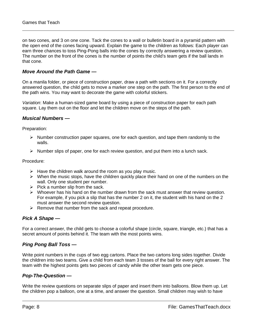on two cones, and 3 on one cone. Tack the cones to a wall or bulletin board in a pyramid pattern with the open end of the cones facing upward. Explain the game to the children as follows: Each player can earn three chances to toss Ping-Pong balls into the cones by correctly answering a review question. The number on the front of the cones is the number of points the child's team gets if the ball lands in that cone.

## <span id="page-13-0"></span>*Move Around the Path Game —*

On a manila folder, or piece of construction paper, draw a path with sections on it. For a correctly answered question, the child gets to move a marker one step on the path. The first person to the end of the path wins. You may want to decorate the game with colorful stickers.

*Variation*: Make a human-sized game board by using a piece of construction paper for each path square. Lay them out on the floor and let the children move on the steps of the path.

#### <span id="page-13-1"></span>*Musical Numbers —*

Preparation:

- $\triangleright$  Number construction paper squares, one for each question, and tape them randomly to the walls.
- $\triangleright$  Number slips of paper, one for each review question, and put them into a lunch sack.

Procedure:

- $\triangleright$  Have the children walk around the room as you play music.
- $\triangleright$  When the music stops, have the children quickly place their hand on one of the numbers on the wall. Only one student per number.
- $\triangleright$  Pick a number slip from the sack.
- $\triangleright$  Whoever has his hand on the number drawn from the sack must answer that review question. For example, if you pick a slip that has the number 2 on it, the student with his hand on the 2 must answer the second review question.
- $\triangleright$  Remove that number from the sack and repeat procedure.

#### <span id="page-13-2"></span>*Pick A Shape —*

For a correct answer, the child gets to choose a colorful shape (circle, square, triangle, etc.) that has a secret amount of points behind it. The team with the most points wins.

# <span id="page-13-3"></span>*Ping Pong Ball Toss —*

Write point numbers in the cups of two egg cartons. Place the two cartons long sides together. Divide the children into two teams. Give a child from each team 3 tosses of the ball for every right answer. The team with the highest points gets two pieces of candy while the other team gets one piece.

#### <span id="page-13-4"></span>*Pop-The-Question —*

Write the review questions on separate slips of paper and insert them into balloons. Blow them up. Let the children pop a balloon, one at a time, and answer the question. Small children may wish to have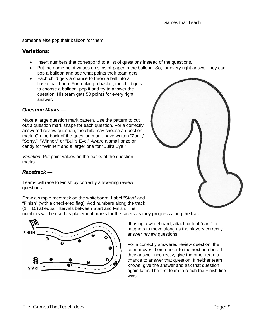someone else pop their balloon for them.

# Variations:

- Insert numbers that correspond to a list of questions instead of the questions.
- Put the game point values on slips of paper in the balloon. So, for every right answer they can pop a balloon and see what points their team gets.
- Each child gets a chance to throw a ball into a basketball hoop. For making a basket, the child gets to choose a balloon, pop it and try to answer the question. His team gets 50 points for every right answer.

# <span id="page-14-0"></span>*Question Marks —*

Make a large question mark pattern. Use the pattern to cut out a question mark shape for each question. For a correctly answered review question, the child may choose a question mark. On the back of the question mark, have written "Zonk," "Sorry," "Winner," or "Bull's Eye." Award a small prize or candy for "Winner" and a larger one for "Bull's Eye."

*Variation*: Put point values on the backs of the question marks.

# <span id="page-14-1"></span>*Racetrack —*

Teams will race to Finish by correctly answering review questions.

Draw a simple racetrack on the whiteboard. Label "Start" and "Finish" (with a checkered flag). Add numbers along the track (1 – 10) at equal intervals between Start and Finish. The

numbers will be used as placement marks for the racers as they progress along the track.



If using a whiteboard, attach cutout "cars" to magnets to move along as the players correctly answer review questions.

For a correctly answered review question, the team moves their marker to the next number. If they answer incorrectly, give the other team a chance to answer that question. If neither team knows, give the answer and ask that question again later. The first team to reach the Finish line wins!

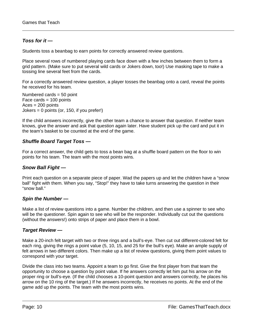# <span id="page-15-0"></span>*Toss for it —*

Students toss a beanbag to earn points for correctly answered review questions.

Place several rows of numbered playing cards face down with a few inches between them to form a grid pattern. (Make sure to put several wild cards or Jokers down, too!) Use masking tape to make a tossing line several feet from the cards.

For a correctly answered review question, a player tosses the beanbag onto a card, reveal the points he received for his team.

Numbered cards = 50 point Face cards = 100 points  $Aces = 200$  points Jokers = 0 points (or, 150, if you prefer!)

If the child answers incorrectly, give the other team a chance to answer that question. If neither team knows, give the answer and ask that question again later. Have student pick up the card and put it in the team's basket to be counted at the end of the game.

# <span id="page-15-1"></span>*Shuffle Board Target Toss —*

For a correct answer, the child gets to toss a bean bag at a shuffle board pattern on the floor to win points for his team. The team with the most points wins.

# <span id="page-15-2"></span>*Snow Ball Fight —*

Print each question on a separate piece of paper. Wad the papers up and let the children have a "snow ball" fight with them. When you say, "Stop!" they have to take turns answering the question in their "snow ball."

# <span id="page-15-3"></span>*Spin the Number —*

Make a list of review questions into a game. Number the children, and then use a spinner to see who will be the questioner. Spin again to see who will be the responder. Individually cut out the questions (without the answers!) onto strips of paper and place them in a bowl.

# <span id="page-15-4"></span>*Target Review —*

Make a 20-inch felt target with two or three rings and a bull's-eye. Then cut out different-colored felt for each ring, giving the rings a point value (5, 10, 15, and 25 for the bull's eye). Make an ample supply of felt arrows in two different colors. Then make up a list of review questions, giving them point values to correspond with your target.

Divide the class into two teams. Appoint a team to go first. Give the first player from that team the opportunity to choose a question by point value. If he answers correctly let him put his arrow on the proper ring or bull's-eye. (If the child chooses a 10-point question and answers correctly, he places his arrow on the 10 ring of the target.) If he answers incorrectly, he receives no points. At the end of the game add up the points. The team with the most points wins.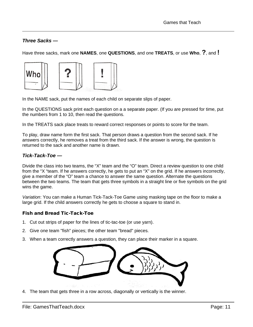# <span id="page-16-0"></span>*Three Sacks —*

Have three sacks, mark one **NAMES**, one **QUESTIONS**, and one **TREATS**, or use **Who**, **?**, and **!**



In the NAME sack, put the names of each child on separate slips of paper.

In the QUESTIONS sack print each question on a a separate paper. (If you are pressed for time, put the numbers from 1 to 10, then read the questions.

In the TREATS sack place treats to reward correct responses or points to score for the team.

To play, draw name form the first sack. That person draws a question from the second sack. If he answers correctly, he removes a treat from the third sack. If the answer is wrong, the question is returned to the sack and another name is drawn.

# <span id="page-16-1"></span>*Tick-Tack-Toe —*

Divide the class into two teams, the "X" team and the "O" team. Direct a review question to one child from the "X "team. If he answers correctly, he gets to put an "X" on the grid. If he answers incorrectly, give a member of the "O" team a chance to answer the same question. Alternate the questions between the two teams. The team that gets three symbols in a straight line or five symbols on the grid wins the game.

*Variation*: You can make a Human Tick-Tack-Toe Game using masking tape on the floor to make a large grid. If the child answers correctly he gets to choose a square to stand in.

# Fish and Bread Tic-Tack-Toe

- 1. Cut out strips of paper for the lines of tic-tac-toe (or use yarn).
- 2. Give one team "fish" pieces; the other team "bread" pieces.
- 3. When a team correctly answers a question, they can place their marker in a square.



4. The team that gets three in a row across, diagonally or vertically is the winner.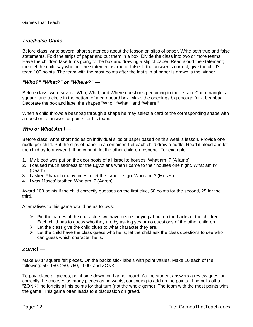# <span id="page-17-0"></span>*True/False Game —*

Before class, write several short sentences about the lesson on slips of paper. Write both true and false statements. Fold the strips of paper and put them in a box. Divide the class into two or more teams. Have the children take turns going to the box and drawing a slip of paper. Read aloud the statement; then let the child say whether the statement is true or false. If the answer is correct, give the child's team 100 points. The team with the most points after the last slip of paper is drawn is the winner.

# <span id="page-17-1"></span>*"Who?" "What?" or "Where?" —*

Before class, write several Who, What, and Where questions pertaining to the lesson. Cut a triangle, a square, and a circle in the bottom of a cardboard box. Make the openings big enough for a beanbag. Decorate the box and label the shapes "Who," "What," and "Where."

When a child throws a beanbag through a shape he may select a card of the corresponding shape with a question to answer for points for his team.

# <span id="page-17-2"></span>*Who or What Am I —*

Before class, write short riddles on individual slips of paper based on this week's lesson. Provide one riddle per child. Put the slips of paper in a container. Let each child draw a riddle. Read it aloud and let the child try to answer it. If he cannot, let the other children respond. For example:

- 1. My blood was put on the door posts of all Israelite houses. What am I? (A lamb)
- 2. I caused much sadness for the Egyptians when I came to their houses one night. What am I? (Death)
- 3. I asked Pharaoh many times to let the Israelites go. Who am I? (Moses)
- 4. I was Moses' brother. Who am I? (Aaron)

Award 100 points if the child correctly guesses on the first clue, 50 points for the second, 25 for the third.

Alternatives to this game would be as follows:

- $\triangleright$  Pin the names of the characters we have been studying about on the backs of the children. Each child has to guess who they are by asking yes or no questions of the other children.
- $\triangleright$  Let the class give the child clues to what character they are.
- $\triangleright$  Let the child have the class guess who he is; let the child ask the class guestions to see who can guess which character he is.

# <span id="page-17-3"></span>*ZONK! —*

Make 60 1" square felt pieces. On the backs stick labels with point values. Make 10 each of the following: 50, 150, 250, 750, 1000, and ZONK!

To pay, place all pieces, point-side down, on flannel board. As the student answers a review question correctly, he chooses as many pieces as he wants, continuing to add up the points. If he pulls off a "ZONK!" he forfeits all his points for that turn (not the whole game). The team with the most points wins the game. This game often leads to a discussion on greed.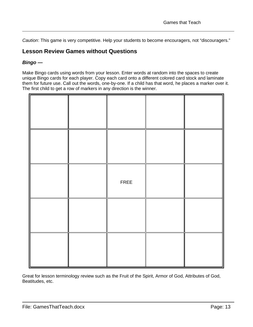*Caution*: This game is very competitive. Help your students to become encouragers, not "discouragers."

# <span id="page-18-0"></span>**Lesson Review Games without Questions**

# <span id="page-18-1"></span>*Bingo —*

Make Bingo cards using words from your lesson. Enter words at random into the spaces to create unique Bingo cards for each player. Copy each card onto a different colored card stock and laminate them for future use. Call out the words, one-by-one. If a child has that word, he places a marker over it. The first child to get a row of markers in any direction is the winner.

|  | FREE |  |
|--|------|--|
|  |      |  |
|  |      |  |

Great for lesson terminology review such as the Fruit of the Spirit, Armor of God, Attributes of God, Beatitudes, etc.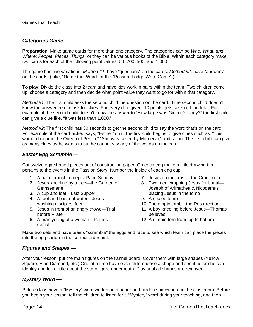# <span id="page-19-0"></span>*Categories Game —*

**Preparation**: Make game cards for more than one category. The categories can be *Who, What, and Where*; *People, Places, Things*, or they can be various books of the Bible. Within each category make two cards for each of the following point values: 50, 200, 500, and 1,000.

The game has two variations*: Method #1*: have "questions" on the cards. *Method #2*: have "answers" on the cards. (Like, "Name that Word" or the "Possum Lodge Word Game".)

**To play**: Divide the class into 2 team and have kids work in pairs within the team. Two children come up, choose a category and then decide what point value they want to go for within that category.

*Method #1*: The first child asks the second child the question on the card. If the second child doesn't know the answer he can ask for clues. For every clue given, 10 points gets taken off the total. For example, if the second child doesn't know the answer to "How large was Gideon's army?" the first child can give a clue like, "It was less than 1,000."

*Method #2*: The first child has 30 seconds to get the second child to say the word that's on the card. For example, if the card picked says, "Esther" on it, the first child begins to give clues such as, "This woman became the Queen of Persia," "She was raised by Mordecai," and so on. The first child can give as many clues as he wants to but he cannot say any of the words on the card.

# <span id="page-19-1"></span>*Easter Egg Scramble —*

Cut twelve egg-shaped pieces out of construction paper. On each egg make a little drawing that pertains to the events in the Passion Story. Number the inside of each egg cup.

- 1. A palm branch to depict Palm Sunday
- 2. Jesus kneeling by a tree—the Garden of **Gethsemane**
- 3. A cup and loaf—Last Supper
- 4. A foot and basin of water—Jesus washing disciples' feet
- 5. Jesus in front of an angry crowd—Trial before Pilate
- 6. A man yelling at a woman—Peter's denial
- 7. Jesus on the cross—the Crucifixion
- 8. Two men wrapping Jesus for burial— Joseph of Arimathea & Nicodemus placing Jesus in the tomb
- 9. A sealed tomb
- 10. The empty tomb—the Resurrection
- 11. A boy kneeling before Jesus—Thomas believes
- 12. A curtain torn from top to bottom

Make two sets and have teams "scramble" the eggs and race to see which team can place the pieces into the egg carton in the correct order first.

# <span id="page-19-2"></span>*Figures and Shapes —*

After your lesson, put the main figures on the flannel board. Cover them with large shapes (Yellow Square, Blue Diamond, etc.) One at a time have each child choose a shape and see if he or she can identify and tell a little about the story figure underneath. Play until all shapes are removed.

# <span id="page-19-3"></span>*Mystery Word —*

Before class have a "Mystery" word written on a paper and hidden somewhere in the classroom. Before you begin your lesson, tell the children to listen for a "Mystery" word during your teaching, and then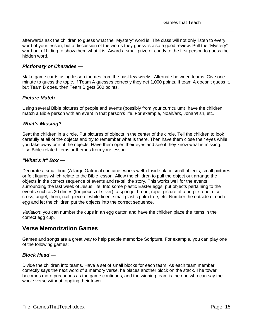afterwards ask the children to guess what the "Mystery" word is. The class will not only listen to every word of your lesson, but a discussion of the words they guess is also a good review. Pull the "Mystery" word out of hiding to show them what it is. Award a small prize or candy to the first person to guess the hidden word.

# <span id="page-20-0"></span>*Pictionary or Charades —*

Make game cards using lesson themes from the past few weeks. Alternate between teams. Give one minute to guess the topic. If Team A guesses correctly they get 1,000 points. If team A doesn't guess it, but Team B does, then Team B gets 500 points.

# <span id="page-20-1"></span>*Picture Match —*

Using several Bible pictures of people and events (possibly from your curriculum), have the children match a Bible person with an event in that person's life. For example, Noah/ark, Jonah/fish, etc.

# <span id="page-20-2"></span>*What's Missing? —*

Seat the children in a circle. Put pictures of objects in the center of the circle. Tell the children to look carefully at all of the objects and try to remember what is there. Then have them close their eyes while you take away one of the objects. Have them open their eyes and see if they know what is missing. Use Bible-related items or themes from your lesson.

# <span id="page-20-3"></span>*"What's It" Box —*

Decorate a small box. (A large Oatmeal container works well.) Inside place small objects, small pictures or felt figures which relate to the Bible lesson. Allow the children to pull the object out arrange the objects in the correct sequence of events and re-tell the story. This works well for the events surrounding the last week of Jesus' life. Into some plastic Easter eggs, put objects pertaining to the events such as 30 dimes (for pieces of silver), a sponge, bread, rope, picture of a purple robe, dice, cross, angel, thorn, nail, piece of white linen, small plastic palm tree, etc. Number the outside of each egg and let the children put the objects into the correct sequence.

*Variation*: you can number the cups in an egg carton and have the children place the items in the correct egg cup.

# <span id="page-20-4"></span>**Verse Memorization Games**

Games and songs are a great way to help people memorize Scripture. For example, you can play one of the following games:

# <span id="page-20-5"></span>*Block Head —*

Divide the children into teams. Have a set of small blocks for each team. As each team member correctly says the next word of a memory verse, he places another block on the stack. The tower becomes more precarious as the game continues, and the winning team is the one who can say the whole verse without toppling their tower.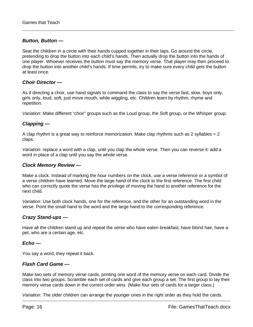## <span id="page-21-0"></span>*Button, Button —*

Seat the children in a circle with their hands cupped together in their laps. Go around the circle, pretending to drop the button into each child's hands. Then actually drop the button into the hands of one player. Whoever receives the button must say the memory verse. That player may then proceed to drop the button into another child's hands. If time permits, try to make sure every child gets the button at least once.

## <span id="page-21-1"></span>*Choir Director —*

As if directing a choir, use hand signals to command the class to say the verse fast, slow, boys only, girls only, loud, soft, just move mouth, while wiggling, etc. Children learn by rhythm, rhyme and repetition.

*Variation*: Make different "choir" groups such as the Loud group, the Soft group, or the Whisper group.

# <span id="page-21-2"></span>*Clapping —*

A clap rhythm is a great way to reinforce memorization. Make clap rhythms such as 2 syllables  $= 2$ claps.

*Variation*: replace a word with a clap, until you clap the whole verse. Then you can reverse it: add a word in place of a clap until you say the whole verse.

## <span id="page-21-3"></span>*Clock Memory Review —*

Make a clock. Instead of marking the hour numbers on the clock, use a verse reference or a symbol of a verse children have learned. Move the large hand of the clock to the first reference. The first child who can correctly quote the verse has the privilege of moving the hand to another reference for the next child.

*Variation*: Use both clock hands, one for the reference, and the other for an outstanding word in the verse. Point the small hand to the word and the large hand to the corresponding reference.

# <span id="page-21-4"></span>*Crazy Stand-ups —*

Have all the children stand up and repeat the verse who have eaten breakfast, have blond hair, have a pet, who are a certain age, etc.

#### <span id="page-21-5"></span>*Echo —*

You say a word, they repeat it back.

# <span id="page-21-6"></span>*Flash Card Game —*

Make two sets of memory verse cards, printing one word of the memory verse on each card. Divide the class into two groups. Scramble each set of cards and give each group a set. The first group to lay their memory verse cards down in the correct order wins. (Make four sets of cards for a larger class.)

*Variation*: The older children can arrange the younger ones in the right order as they hold the cards.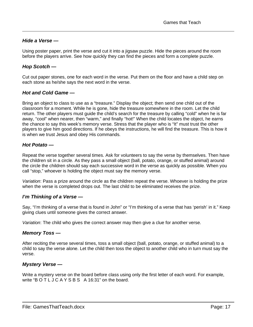# <span id="page-22-0"></span>*Hide a Verse —*

Using poster paper, print the verse and cut it into a jigsaw puzzle. Hide the pieces around the room before the players arrive. See how quickly they can find the pieces and form a complete puzzle.

# <span id="page-22-1"></span>*Hop Scotch —*

Cut out paper stones, one for each word in the verse. Put them on the floor and have a child step on each stone as he/she says the next word in the verse.

# <span id="page-22-2"></span>*Hot and Cold Game —*

Bring an object to class to use as a "treasure." Display the object; then send one child out of the classroom for a moment. While he is gone, hide the treasure somewhere in the room. Let the child return. The other players must guide the child's search for the treasure by calling "cold" when he is far away, "cool" when nearer, then "warm," and finally "hot!" When the child locates the object, he earns the chance to say this week's memory verse. Stress that the player who is "It" must trust the other players to give him good directions. If he obeys the instructions, he will find the treasure. This is how it is when we trust Jesus and obey His commands.

# <span id="page-22-3"></span>*Hot Potato —*

Repeat the verse together several times. Ask for volunteers to say the verse by themselves. Then have the children sit in a circle. As they pass a small object (ball, potato, orange, or stuffed animal) around the circle the children should say each successive word in the verse as quickly as possible. When you call "stop," whoever is holding the object must say the memory verse.

*Variation*: Pass a prize around the circle as the children repeat the verse. Whoever is holding the prize when the verse is completed drops out. The last child to be eliminated receives the prize.

# <span id="page-22-4"></span>*I'm Thinking of a Verse —*

Say, "I'm thinking of a verse that is found in John" or "I'm thinking of a verse that has 'perish' in it." Keep giving clues until someone gives the correct answer.

*Variation*: The child who gives the correct answer may then give a clue for another verse.

# <span id="page-22-5"></span>*Memory Toss —*

After reciting the verse several times, toss a small object (ball, potato, orange, or stuffed animal) to a child to say the verse alone. Let the child then toss the object to another child who in turn must say the verse.

# <span id="page-22-6"></span>*Mystery Verse —*

Write a mystery verse on the board before class using only the first letter of each word. For example, write "BOTLJCAYSBS A 16:31" on the board.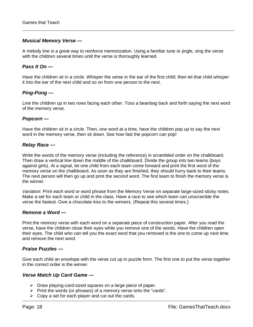# <span id="page-23-0"></span>*Musical Memory Verse —*

A melody line is a great way to reinforce memorization. Using a familiar tune or jingle, sing the verse with the children several times until the verse is thoroughly learned.

## <span id="page-23-1"></span>*Pass It On —*

Have the children sit in a circle. Whisper the verse in the ear of the first child; then let that child whisper it into the ear of the next child and so on from one person to the next.

# <span id="page-23-2"></span>*Ping-Pong —*

Line the children up in two rows facing each other. Toss a beanbag back and forth saying the next word of the memory verse.

## <span id="page-23-3"></span>*Popcorn —*

Have the children sit in a circle. Then, one word at a time, have the children pop up to say the next word in the memory verse, then sit down. See how fast the popcorn can pop!

## <span id="page-23-4"></span>*Relay Race —*

Write the words of the memory verse (including the reference) in scrambled order on the chalkboard. Then draw a vertical line down the middle of the chalkboard. Divide the group into two teams (boys against girls). At a signal, let one child from each team come forward and print the first word of the memory verse on the chalkboard. As soon as they are finished, they should hurry back to their teams. The next person will then go up and print the second word. The first team to finish the memory verse is the winner.

*Variation*: Print each word or word phrase from the Memory Verse on separate large-sized sticky notes. Make a set for each team or child in the class. Have a race to see which team can unscramble the verse the fastest. Give a chocolate kiss to the winners. (Repeat this several times.)

#### <span id="page-23-5"></span>*Remove a Word —*

Print the memory verse with each word on a separate piece of construction paper. After you read the verse, have the children close their eyes while you remove one of the words. Have the children open their eyes. The child who can tell you the exact word that you removed is the one to come up next time and remove the next word.

# <span id="page-23-6"></span>*Praise Puzzles —*

Give each child an envelope with the verse cut up in puzzle form. The first one to put the verse together in the correct order is the winner.

#### <span id="page-23-7"></span>*Verse Match Up Card Game —*

- $\triangleright$  Draw playing-card-sized squares on a large piece of paper.
- $\triangleright$  Print the words (or phrases) of a memory verse onto the "cards".
- $\triangleright$  Copy a set for each player and cut out the cards.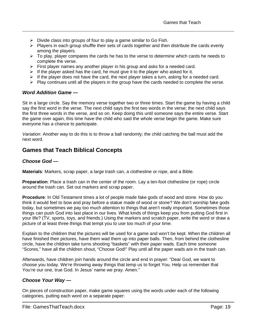- $\triangleright$  Divide class into groups of four to play a game similar to Go Fish.
- $\triangleright$  Players in each group shuffle their sets of cards together and then distribute the cards evenly among the players.
- $\triangleright$  To play, player compares the cards he has to the verse to determine which cards he needs to complete the verse.
- $\triangleright$  First player names any another player in his group and asks for a needed card.
- If the player asked has the card, he must give it to the player who asked for it.
- $\triangleright$  If the player does not have the card, the next player takes a turn, asking for a needed card.
- $\triangleright$  Play continues until all the players in the group have the cards needed to complete the verse.

# <span id="page-24-0"></span>*Word Addition Game —*

Sit in a large circle. Say the memory verse together two or three times. Start the game by having a child say the first word in the verse. The next child says the first two words in the verse; the next child says the first three words in the verse, and so on. Keep doing this until someone says the entire verse. Start the game over again, this time have the child who said the whole verse begin the game. Make sure everyone has a chance to participate.

*Variation*: Another way to do this is to throw a ball randomly; the child catching the ball must add the next word.

# <span id="page-24-1"></span>**Games that Teach Biblical Concepts**

# <span id="page-24-2"></span>*Choose God —*

**Materials**: Markers, scrap paper, a large trash can, a clothesline or rope, and a Bible.

**Preparation**: Place a trash can in the center of the room. Lay a ten-foot clothesline (or rope) circle around the trash can. Set out markers and scrap paper.

**Procedure**: In Old Testament times a lot of people made fake gods of wood and stone. How do you think it would feel to bow and pray before a statue made of wood or stone? We don't worship fake gods today, but sometimes we pay too much attention to things that aren't really important. Sometimes those things can push God into last place in our lives. What kinds of things keep you from putting God first in your life? (TV, sports, toys, and friends.) Using the markers and scratch paper, write the word or draw a picture of at least three things that tempt you to use too much of your time.

Explain to the children that the pictures will be used for a game and won't be kept. When the children all have finished their pictures, have them wad them up into paper balls. Then, from behind the clothesline circle, have the children take turns shooting "baskets" with their paper wads. Each time someone "Scores," have all the children shout, "Choose God!" Play until all the paper wads are in the trash can.

Afterwards, have children join hands around the circle and end in prayer: "Dear God, we want to choose you today. We're throwing away things that temp us to forget You. Help us remember that You're our one, true God. In Jesus' name we pray. Amen."

# <span id="page-24-3"></span>*Choose Your Way —*

On pieces of construction paper, make game squares using the words under each of the following categories, putting each word on a separate paper: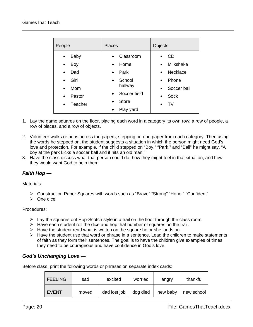| People                                                                                                                                                   | <b>Places</b>                                                                                                                                                                          | Objects                                                                                                                                          |
|----------------------------------------------------------------------------------------------------------------------------------------------------------|----------------------------------------------------------------------------------------------------------------------------------------------------------------------------------------|--------------------------------------------------------------------------------------------------------------------------------------------------|
| <b>Baby</b><br>$\bullet$<br>Boy<br>$\bullet$<br>Dad<br>$\bullet$<br>Girl<br>$\bullet$<br>Mom<br>$\bullet$<br>Pastor<br>$\bullet$<br>Teacher<br>$\bullet$ | Classroom<br>$\bullet$<br>Home<br>$\bullet$<br>Park<br>$\bullet$<br>School<br>$\bullet$<br>hallway<br>Soccer field<br>$\bullet$<br><b>Store</b><br>$\bullet$<br>Play yard<br>$\bullet$ | CD<br><b>Milkshake</b><br>$\bullet$<br>Necklace<br>$\bullet$<br>Phone<br>$\bullet$<br>Soccer ball<br>$\bullet$<br>Sock<br>$\bullet$<br><b>TV</b> |

- 1. Lay the game squares on the floor, placing each word in a category its own row: a row of people, a row of places, and a row of objects.
- 2. Volunteer walks or hops across the papers, stepping on one paper from each category. Then using the words he stepped on, the student suggests a situation in which the person might need God's love and protection. For example, if the child stepped on "Boy," "Park," and "Ball" he might say, "A boy at the park kicks a soccer ball and it hits an old man."
- 3. Have the class discuss what that person could do, how they might feel in that situation, and how they would want God to help them.

# <span id="page-25-0"></span>*Faith Hop —*

Materials:

- Construction Paper Squares with words such as "Brave" "Strong" "Honor" "Confident"
- $\triangleright$  One dice

Procedures:

- $\triangleright$  Lay the squares out Hop-Scotch style in a trail on the floor through the class room.
- $\triangleright$  Have each student roll the dice and hop that number of squares on the trail.
- $\triangleright$  Have the student read what is written on the square he or she lands on.
- $\triangleright$  Have the student use that word or phrase in a sentence. Lead the children to make statements of faith as they form their sentences. The goal is to have the children give examples of times they need to be courageous and have confidence in God's love.

# <span id="page-25-1"></span>*God's Unchanging Love —*

Before class, print the following words or phrases on separate index cards:

| <b>FEELING</b> | sad   | excited      | worried  | angry    | thankful   |
|----------------|-------|--------------|----------|----------|------------|
| <b>EVENT</b>   | moved | dad lost job | dog died | new baby | new school |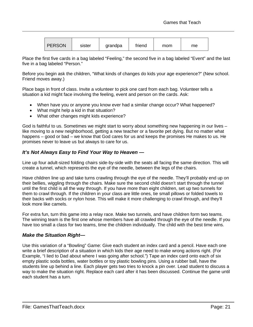| <b>PERSON</b> | sister | grandpa | friend | mom | me |
|---------------|--------|---------|--------|-----|----|
|---------------|--------|---------|--------|-----|----|

Place the first five cards in a bag labeled "Feeling," the second five in a bag labeled "Event" and the last five in a bag labeled "Person."

Before you begin ask the children, "What kinds of changes do kids your age experience?" (New school. Friend moves away.)

Place bags in front of class. Invite a volunteer to pick one card from each bag. Volunteer tells a situation a kid might face involving the feeling, event and person on the cards. Ask:

- When have you or anyone you know ever had a similar change occur? What happened?
- What might help a kid in that situation?
- What other changes might kids experience?

God is faithful to us. Sometimes we might start to worry about something new happening in our lives – like moving to a new neighborhood, getting a new teacher or a favorite pet dying. But no matter what happens – good or bad – we know that God cares for us and keeps the promises He makes to us. He promises never to leave us but always to care for us.

# <span id="page-26-0"></span>*It's Not Always Easy to Find Your Way to Heaven —*

Line up four adult-sized folding chairs side-by-side with the seats all facing the same direction. This will create a tunnel, which represents the eye of the needle, between the legs of the chairs.

Have children line up and take turns crawling through the eye of the needle. They'll probably end up on their bellies, wiggling through the chairs. Make sure the second child doesn't start through the tunnel until the first child is all the way through. If you have more than eight children, set up two tunnels for them to crawl through. If the children in your class are little ones, tie small pillows or folded towels to their backs with socks or nylon hose. This will make it more challenging to crawl through, and they'll look more like camels.

For extra fun, turn this game into a relay race. Make two tunnels, and have children form two teams. The winning team is the first one whose members have all crawled through the eye of the needle. If you have too small a class for two teams, time the children individually. The child with the best time wins.

# <span id="page-26-1"></span>*Make the Situation Right—*

Use this variation of a "Bowling" Game: Give each student an index card and a pencil. Have each one write a brief description of a situation in which kids their age need to make wrong actions right. (For Example, "I lied to Dad about where I was going after school.") Tape an index card onto each of six empty plastic soda bottles, water bottles or toy plastic bowling pins. Using a rubber ball, have the students line up behind a line. Each player gets two tries to knock a pin over. Lead student to discuss a way to make the situation right. Replace each card after it has been discussed. Continue the game until each student has a turn.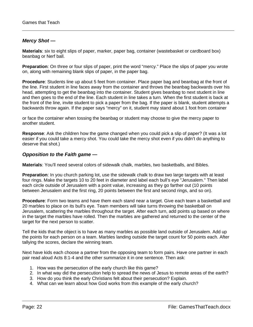# <span id="page-27-0"></span>*Mercy Shot —*

**Materials**: six to eight slips of paper, marker, paper bag, container (wastebasket or cardboard box) beanbag or Nerf ball.

**Preparation**: On three or four slips of paper, print the word "mercy." Place the slips of paper you wrote on, along with remaining blank slips of paper, in the paper bag.

**Procedure**: Students line up about 5 feet from container. Place paper bag and beanbag at the front of the line. First student in line faces away from the container and throws the beanbag backwards over his head, attempting to get the beanbag into the container. Student gives beanbag to next student in line and then goes to the end of the line. Each student in line takes a turn. When the first student is back at the front of the line, invite student to pick a paper from the bag. If the paper is blank, student attempts a backwards throw again. If the paper says "mercy" on it, student may stand about 1 foot from container

or face the container when tossing the beanbag or student may choose to give the mercy paper to another student.

**Response**: Ask the children how the game changed when you could pick a slip of paper? (It was a lot easier if you could take a mercy shot. You could take the mercy shot even if you didn't do anything to deserve that shot.)

# <span id="page-27-1"></span>*Opposition to the Faith game —*

**Materials**: You'll need several colors of sidewalk chalk, marbles, two basketballs, and Bibles.

**Preparation**: In you church parking lot, use the sidewalk chalk to draw two large targets with at least four rings. Make the targets 10 to 20 feet in diameter and label each bull's eye "Jerusalem." Then label each circle outside of Jerusalem with a point value, increasing as they go farther out (10 points between Jerusalem and the first ring, 20 points between the first and second rings, and so on).

**Procedure**: Form two teams and have them each stand near a target. Give each team a basketball and 20 marbles to place on its bull's eye. Team members will take turns throwing the basketball on Jerusalem, scattering the marbles throughout the target. After each turn, add points up based on where in the target the marbles have rolled. Then the marbles are gathered and returned to the center of the target for the next person to scatter.

Tell the kids that the object is to have as many marbles as possible land outside of Jerusalem. Add up the points for each person on a team. Marbles landing outside the target count for 50 points each. After tallying the scores, declare the winning team.

Next have kids each choose a partner from the opposing team to form pairs. Have one partner in each pair read aloud Acts 8:1-4 and the other summarize it in one sentence. Then ask:

- 1. How was the persecution of the early church like this game?
- 2. In what way did the persecution help to spread the news of Jesus to remote areas of the earth?
- 3. How do you think the early Christians felt about their persecution? Explain.
- 4. What can we learn about how God works from this example of the early church?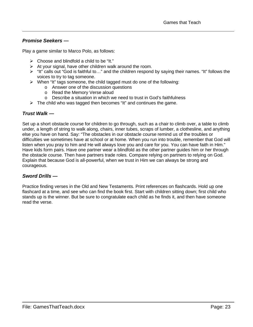# <span id="page-28-0"></span>*Promise Seekers —*

Play a game similar to Marco Polo, as follows:

- $\triangleright$  Choose and blindfold a child to be "It."
- $\triangleright$  At your signal, have other children walk around the room.
- > "It" calls out "God is faithful to..." and the children respond by saying their names. "It" follows the voices to try to tag someone.
- $\triangleright$  When "It" tags someone, the child tagged must do one of the following:
	- o Answer one of the discussion questions
	- o Read the Memory Verse aloud
	- o Describe a situation in which we need to trust in God's faithfulness
- $\triangleright$  The child who was tagged then becomes "It" and continues the game.

# <span id="page-28-1"></span>*Trust Walk —*

Set up a short obstacle course for children to go through, such as a chair to climb over, a table to climb under, a length of string to walk along, chairs, inner tubes, scraps of lumber, a clothesline, and anything else you have on hand. Say: "The obstacles in our obstacle course remind us of the troubles or difficulties we sometimes have at school or at home. When you run into trouble, remember that God will listen when you pray to him and He will always love you and care for you. You can have faith in Him." Have kids form pairs. Have one partner wear a blindfold as the other partner guides him or her through the obstacle course. Then have partners trade roles. Compare relying on partners to relying on God. Explain that because God is all-powerful, when we trust in Him we can always be strong and courageous.

# <span id="page-28-2"></span>*Sword Drills —*

Practice finding verses in the Old and New Testaments. Print references on flashcards. Hold up one flashcard at a time, and see who can find the book first. Start with children sitting down; first child who stands up is the winner. But be sure to congratulate each child as he finds it, and then have someone read the verse.